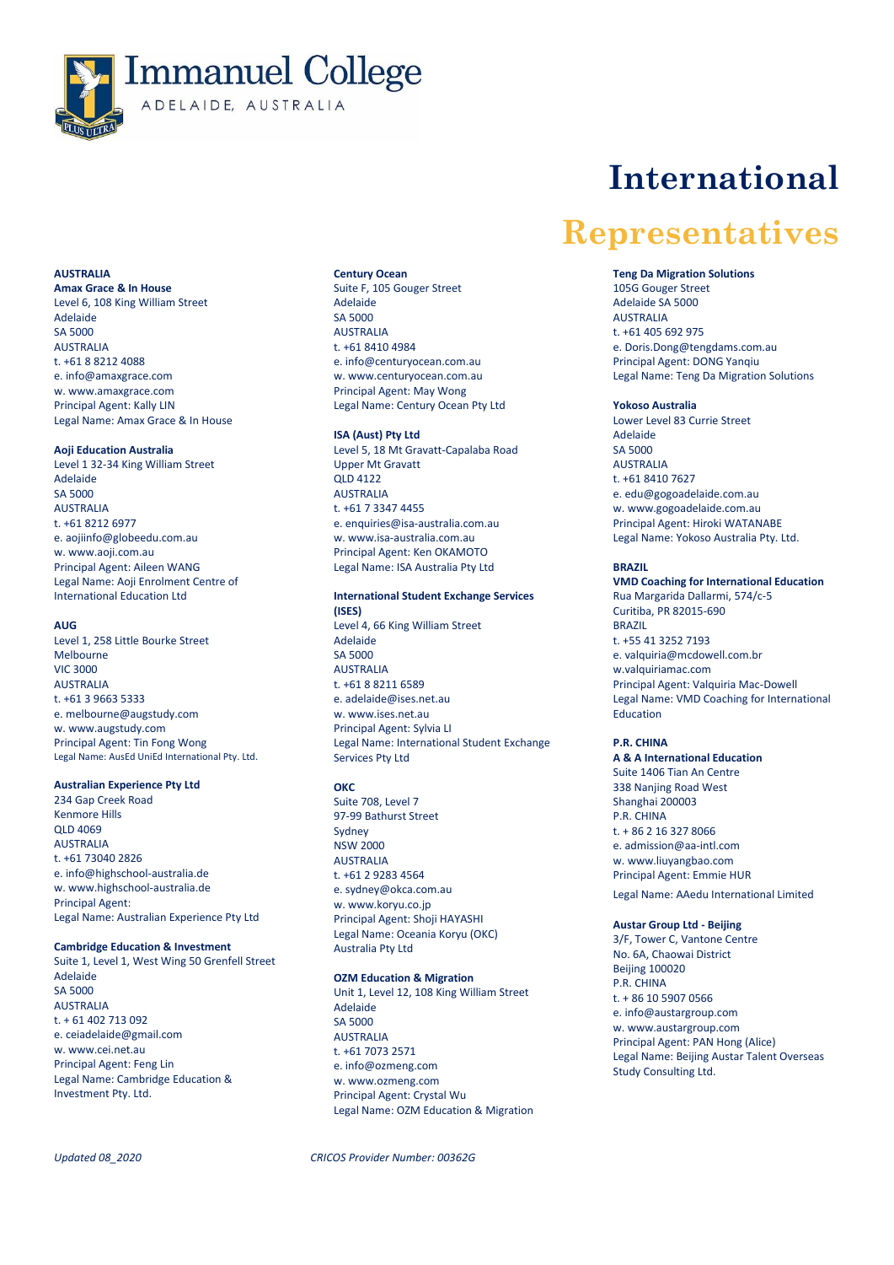

# **AUSTRALIA**

**Amax Grace & In House**  Level 6, 108 King William Street Adelaide SA 5000 AUSTRALIA t. +61 8 8212 4088 e. info@amaxgrace.com w[. www.amaxgrace.com](http://www.amaxgrace.com/) Principal Agent: Kally LIN Legal Name: Amax Grace & In House

### **Aoji Education Australia**

Level 1 32-34 King William Street Adelaide SA 5000 **AUSTRALIA** t. +61 8212 6977 e. [aojiinfo@globeedu.com.au](mailto:aojiinfo@globeedu.com.au) w[. www.aoji.com.au](http://www.aoji.com.au/) Principal Agent: Aileen WANG Legal Name: Aoji Enrolment Centre of International Education Ltd

### **AUG**

Level 1, 258 Little Bourke Street Melbourne VIC 3000 AUSTRALIA t. +61 3 9663 5333 e. [melbourne@augstudy.com](mailto:melbourne@augstudy.com) w. www.augstudy.com Principal Agent: Tin Fong Wong Legal Name: AusEd UniEd International Pty. Ltd.

# **Australian Experience Pty Ltd**

234 Gap Creek Road Kenmore Hills QLD 4069 AUSTRALIA t. +61 73040 2826 e. info@highschool-australia.de w[. www.highschool-australia.de](http://www.highschool-australia.de/) Principal Agent: Legal Name: Australian Experience Pty Ltd

### **Cambridge Education & Investment**

Suite 1, Level 1, West Wing 50 Grenfell Street Adelaide SA 5000 **AUSTRALIA** t. + 61 402 713 092 e. [ceiadelaide@gmail.com](mailto:ceiadelaide@gmail.com) w[. www.cei.net.au](http://www.cei.net.au/) Principal Agent: Feng Lin Legal Name: Cambridge Education & Investment Pty. Ltd.

#### **Century Ocean**

Suite F, 105 Gouger Street Adelaide SA 5000 AUSTRALIA t. +61 8410 4984 e[. info@centuryocean.com.au](mailto:info@centuryocean.com.au) w[. www.centuryocean.com.au](http://www.centuryocean.com.au/) Principal Agent: May Wong Legal Name: Century Ocean Pty Ltd

# **ISA (Aust) Pty Ltd**

Level 5, 18 Mt Gravatt-Capalaba Road Upper Mt Gravatt QLD 4122 **AUSTRALIA** t. +61 7 3347 4455 e[. enquiries@isa-australia.com.au](mailto:enquiries@isa-australia.com.au) w[. www.isa-australia.com.au](http://www.isa-australia.com.au/) Principal Agent: Ken OKAMOTO Legal Name: ISA Australia Pty Ltd

# **International Student Exchange Services**

**(ISES)** Level 4, 66 King William Street Adelaide SA 5000 AUSTRALIA t. +61 8 8211 6589 e[. adelaide@ises.net.au](mailto:adelaide@ises.net.au) w[. www.ises.net.au](http://www.ises.net.au/) Principal Agent: Sylvia LI Legal Name: International Student Exchange Services Pty Ltd

### **OKC**

Suite 708, Level 7 97-99 Bathurst Street Sydney  $N$ SW 2000 AUSTRALIA t. +61 2 9283 4564 e. sydney@okca.com.au w[. www.koryu.co.jp](http://www.koryu.co.jp/) Principal Agent: Shoji HAYASHI Legal Name: Oceania Koryu (OKC) Australia Pty Ltd

# **OZM Education & Migration**

Unit 1, Level 12, 108 King William Street Adelaide SA 5000 AUSTRALIA t. +61 7073 2571 e. info@ozmeng.com w[. www.ozmeng.com](https://nam10.safelinks.protection.outlook.com/?url=http%3A%2F%2Fwww.ozmeng.com%2F&data=02%7C01%7CENorris%40immanuel.sa.edu.au%7Cc12adf47d34746958aeb08d767153fcf%7Cfee814f1d7e74d2b88b351b8689047ff%7C0%7C0%7C637091213287473183&sdata=g30btYURal4cDif22JsIBjATvPcFPYeFmwbTh4tN%2Fd0%3D&reserved=0) Principal Agent: Crystal Wu Legal Name: OZM Education & Migration

*Updated 08\_2020 CRICOS Provider Number: 00362G*

# **International**

# **Representatives**

### **Teng Da Migration Solutions**

105G Gouger Street Adelaide SA 5000 AUSTRALIA t. +61 405 692 975 e. [Doris.Dong@tengdams.com.au](mailto:Doris.Dong@tengdams.com.au) Principal Agent: DONG Yanqiu Legal Name: Teng Da Migration Solutions

# **Yokoso Australia**

Lower Level 83 Currie Street Adelaide SA 5000 AUSTRALIA t. +61 8410 7627 e[. edu@gogoadelaide.com.au](mailto:edu@gogoadelaide.com.au) w. www.gogoadelaide.com.au Principal Agent: Hiroki WATANABE Legal Name: Yokoso Australia Pty. Ltd.

# **BRAZIL**

**VMD Coaching for International Education** Rua Margarida Dallarmi, 574/c-5 Curitiba, PR 82015-690 BRAZIL t. +55 41 3252 7193 e[. valquiria@mcdowell.com.br](mailto:valquiria@mcdowell.com.br) w.valquiriamac.com Principal Agent: Valquiria Mac-Dowell Legal Name: VMD Coaching for International Education

### **P.R. CHINA**

**A & A International Education** Suite 1406 Tian An Centre 338 Nanjing Road West Shanghai 200003 P.R. CHINA t. + 86 2 16 327 8066 e[. admission@aa-intl.com](mailto:admission@aa-intl.com) w. www.liuyangbao.com Principal Agent: Emmie HUR Legal Name: AAedu International Limited

# **Austar Group Ltd - Beijing**

3/F, Tower C, Vantone Centre No. 6A, Chaowai District Beijing 100020 P.R. CHINA t. + 86 10 5907 0566 e[. info@austargroup.com](mailto:info@austargroup.com) w. www.austargroup.com Principal Agent: PAN Hong (Alice) Legal Name: Beijing Austar Talent Overseas Study Consulting Ltd.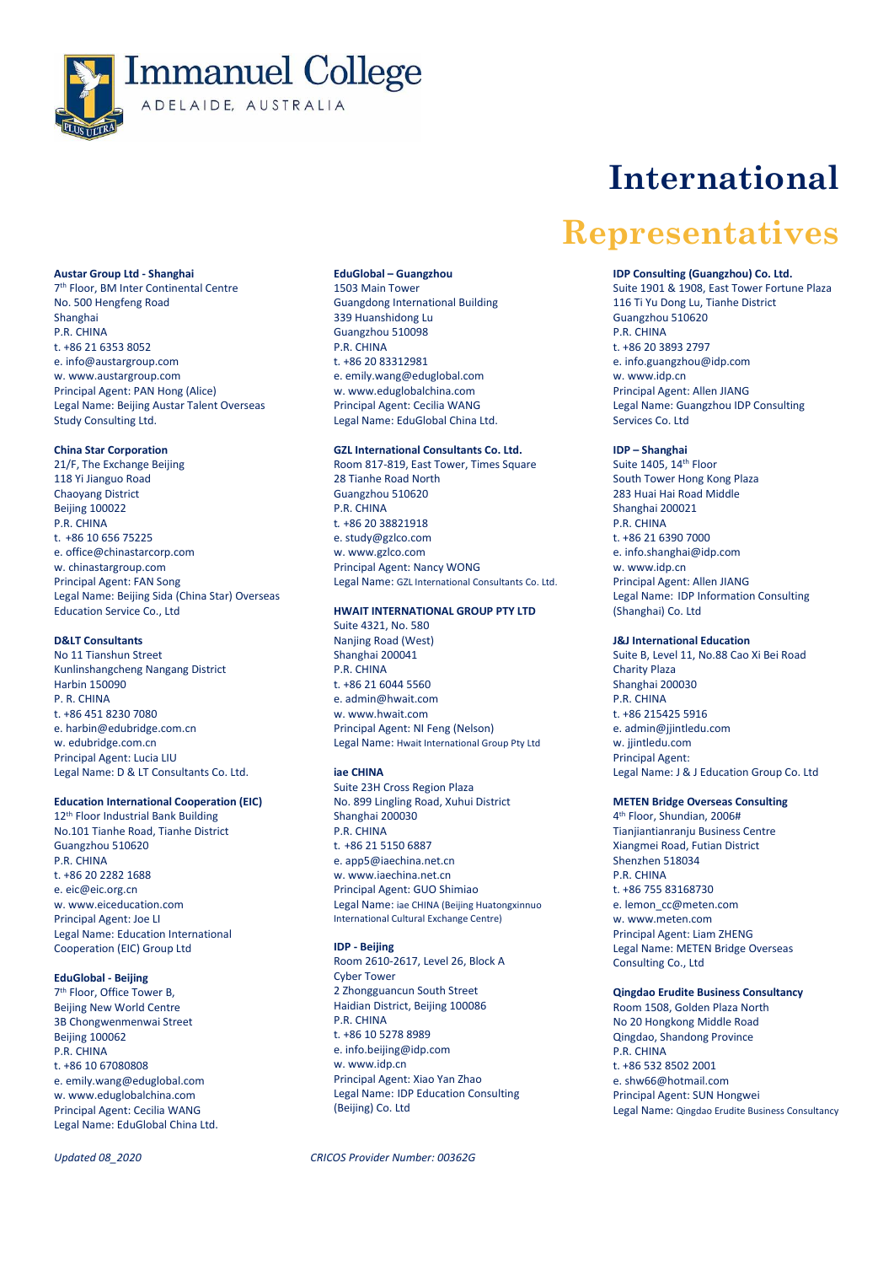

# **Austar Group Ltd - Shanghai**

7 th Floor, BM Inter Continental Centre No. 500 Hengfeng Road Shanghai P.R. CHINA t. +86 21 6353 8052 e. [info@austargroup.com](mailto:info@austargroup.com) w. www.austargroup.com Principal Agent: PAN Hong (Alice) Legal Name: Beijing Austar Talent Overseas Study Consulting Ltd.

### **China Star Corporation**

21/F, The Exchange Beijing 118 Yi Jianguo Road Chaoyang District Beijing 100022 P.R. CHINA t. +86 10 656 75225 e. office@chinastarcorp.com w. chinastargroup.com Principal Agent: FAN Song Legal Name: Beijing Sida (China Star) Overseas Education Service Co., Ltd

# **D&LT Consultants**

No 11 Tianshun Street Kunlinshangcheng Nangang District Harbin 150090 P. R. CHINA t. +86 451 8230 7080 e. [harbin@edubridge.com.cn](mailto:harbin@edubridge.com.cn) w. edubridge.com.cn Principal Agent: Lucia LIU Legal Name: D & LT Consultants Co. Ltd.

### **Education International Cooperation (EIC)**

12th Floor Industrial Bank Building No.101 Tianhe Road, Tianhe District Guangzhou 510620 P.R. CHINA t. +86 20 2282 1688 e. eic@eic.org.cn w[. www.eiceducation.com](http://www.eiceducation.com/) Principal Agent: Joe LI Legal Name: Education International Cooperation (EIC) Group Ltd

# **EduGlobal - Beijing**

7 th Floor, Office Tower B, Beijing New World Centre 3B Chongwenmenwai Street Beijing 100062 P.R. CHINA t. +86 10 67080808 e. emily.wang@eduglobal.com w. [www.eduglobalchina.com](http://www.eduglobalchina.com/) Principal Agent: Cecilia WANG Legal Name: EduGlobal China Ltd.

#### **EduGlobal – Guangzhou**

1503 Main Tower Guangdong International Building 339 Huanshidong Lu Guangzhou 510098 P.R. CHINA t. +86 20 83312981 e. emily.wang@eduglobal.com w[. www.eduglobalchina.com](http://www.eduglobalchina.com/) Principal Agent: Cecilia WANG Legal Name: EduGlobal China Ltd.

# **GZL International Consultants Co. Ltd.**

Room 817-819, East Tower, Times Square 28 Tianhe Road North Guangzhou 510620 P.R. CHINA t*.* +86 20 38821918 e. study@gzlco.com w[. www.gzlco.com](http://www.gzlco.com/) Principal Agent: Nancy WONG Legal Name: GZL International Consultants Co. Ltd.

# **HWAIT INTERNATIONAL GROUP PTY LTD**

Suite 4321, No. 580 Nanjing Road (West) Shanghai 200041 P.R. CHINA t. +86 21 6044 5560 e. admin@hwait.com w. www.hwait.com Principal Agent: NI Feng (Nelson) Legal Name: Hwait International Group Pty Ltd

### **iae CHINA**

Suite 23H Cross Region Plaza No. 899 Lingling Road, Xuhui District Shanghai 200030 P.R. CHINA t. +86 21 5150 6887 e. app5@iaechina.net.cn w. www.iaechina.net.cn Principal Agent: GUO Shimiao Legal Name: iae CHINA (Beijing Huatongxinnuo International Cultural Exchange Centre)

# **IDP - Beijing**

Room 2610-2617, Level 26, Block A Cyber Tower 2 Zhongguancun South Street Haidian District, Beijing 100086 P.R. CHINA t. +86 10 5278 8989 e. info.beijing@idp.com w. www.idp.cn Principal Agent: Xiao Yan Zhao Legal Name: IDP Education Consulting (Beijing) Co. Ltd

# *Updated 08\_2020 CRICOS Provider Number: 00362G*

# **International**

# **Representatives**

### **IDP Consulting (Guangzhou) Co. Ltd.**

Suite 1901 & 1908, East Tower Fortune Plaza 116 Ti Yu Dong Lu, Tianhe District Guangzhou 510620 P.R. CHINA t. +86 20 3893 2797 e. info.guangzhou@idp.com w. www.idp.cn Principal Agent: Allen JIANG Legal Name: Guangzhou IDP Consulting Services Co. Ltd

### **IDP – Shanghai**

Suite 1405, 14th Floor South Tower Hong Kong Plaza 283 Huai Hai Road Middle Shanghai 200021 P.R. CHINA t. +86 21 6390 7000 e. info.shanghai@idp.com w. www.idp.cn Principal Agent: Allen JIANG Legal Name: IDP Information Consulting (Shanghai) Co. Ltd

# **J&J International Education**

Suite B, Level 11, No.88 Cao Xi Bei Road Charity Plaza Shanghai 200030 P.R. CHINA t. +86 215425 5916 e. [admin@jjintledu.com](mailto:admin@jjintledu.com) w. jjintledu.com Principal Agent: Legal Name: J & J Education Group Co. Ltd

#### **METEN Bridge Overseas Consulting**

4 th Floor, Shundian, 2006# Tianjiantianranju Business Centre Xiangmei Road, Futian District Shenzhen 518034 P.R. CHINA t. +86 755 83168730 e[. lemon\\_cc@meten.com](mailto:lemon_cc@meten.com) w[. www.meten.com](http://www.meten.com/) Principal Agent: Liam ZHENG Legal Name: METEN Bridge Overseas Consulting Co., Ltd

# **Qingdao Erudite Business Consultancy**

Room 1508, Golden Plaza North No 20 Hongkong Middle Road Qingdao, Shandong Province P.R. CHINA t. +86 532 8502 2001 e. shw66@hotmail.com Principal Agent: SUN Hongwei Legal Name: Qingdao Erudite Business Consultancy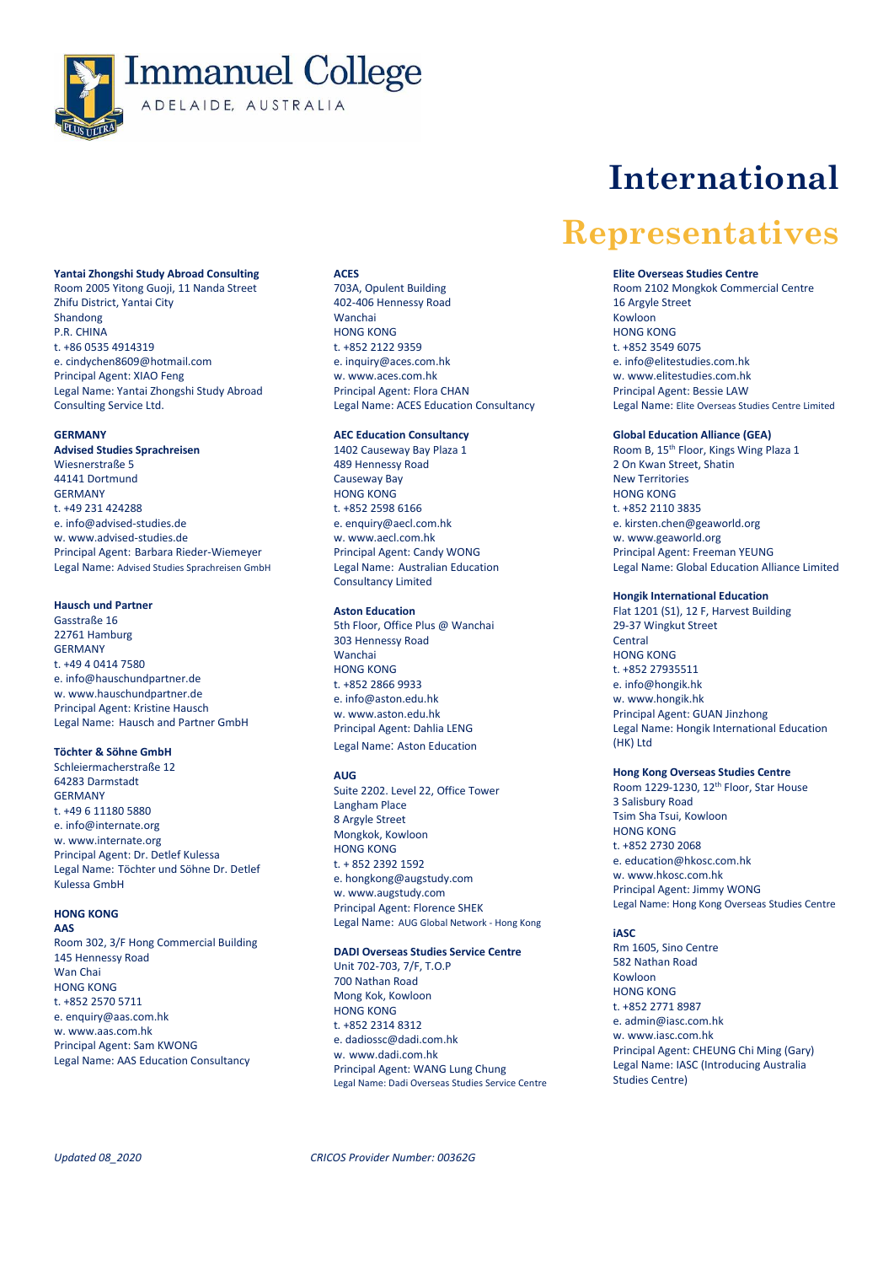

# **Yantai Zhongshi Study Abroad Consulting**

Room 2005 Yitong Guoji, 11 Nanda Street Zhifu District, Yantai City Shandong P.R. CHINA t. +86 0535 4914319 e. [cindychen8609@hotmail.com](mailto:cindychen8609@hotmail.com) Principal Agent: XIAO Feng Legal Name: Yantai Zhongshi Study Abroad Consulting Service Ltd.

# **GERMANY**

**Advised Studies Sprachreisen** Wiesnerstraße 5 44141 Dortmund **GERMANY** t. +49 231 424288 e. [info@advised-studies.de](mailto:info@advised-studies.de) w[. www.advised-studies.de](http://www.advised-studies.de/) Principal Agent: Barbara Rieder-Wiemeyer Legal Name: Advised Studies Sprachreisen GmbH

### **Hausch und Partner**

Gasstraße 16 22761 Hamburg GERMANY  $+49404147580$ e. [info@hauschundpartner.de](mailto:info@hauschundpartner.de) w[. www.hauschundpartner.de](http://www.hauschundpartner.de/) Principal Agent: Kristine Hausch Legal Name: Hausch and Partner GmbH

# **Töchter & Söhne GmbH**

Schleiermacherstraße 12 64283 Darmstadt GERMANY t. +49 6 11180 5880 e. info@internate.org w[. www.internate.org](http://www.internate.org/) Principal Agent: Dr. Detlef Kulessa Legal Name: Töchter und Söhne Dr. Detlef Kulessa GmbH

# **HONG KONG**

**AAS**

Room 302, 3/F Hong Commercial Building 145 Hennessy Road Wan Chai HONG KONG t. +852 2570 5711 e. [enquiry@aas.com.hk](mailto:enquiry@aas.com.hk) w. www.aas.com.hk Principal Agent: Sam KWONG Legal Name: AAS Education Consultancy

# **ACES**

703A, Opulent Building 402-406 Hennessy Road Wanchai HONG KONG t. +852 2122 9359 e. inquiry@aces.com.hk w. www.aces.com.hk Principal Agent: Flora CHAN Legal Name: ACES Education Consultancy

# **AEC Education Consultancy**

1402 Causeway Bay Plaza 1 489 Hennessy Road Causeway Bay HONG KONG t. +852 2598 6166 e. enquiry@aecl.com.hk w. [www.aecl.com.hk](http://www.aecl.com.hk/) Principal Agent: Candy WONG Legal Name: Australian Education Consultancy Limited

# **Aston Education**

5th Floor, Office Plus @ Wanchai 303 Hennessy Road Wanchai HONG KONG t. +852 2866 9933 e. info@aston.edu.hk w[. www.aston.edu.hk](http://www.aston.edu.hk/) Principal Agent: Dahlia LENG Legal Name: Aston Education

#### **AUG**

Suite 2202. Level 22, Office Tower Langham Place 8 Argyle Street Mongkok, Kowloon HONG KONG t. + 852 2392 1592 e[. hongkong@augstudy.com](mailto:hongkong@augstudy.com?Subject=Contact%20us%20from%20AUG%20Website) w[. www.augstudy.com](http://www.augstudy.com/) Principal Agent: Florence SHEK Legal Name: AUG Global Network - Hong Kong

### **DADI Overseas Studies Service Centre**

Unit 702-703, 7/F, T.O.P 700 Nathan Road Mong Kok, Kowloon HONG KONG t. +852 2314 8312 e[. dadiossc@dadi.com.hk](mailto:dadiossc@dadi.com.hk) w. www.dadi.com.hk Principal Agent: WANG Lung Chung Legal Name: Dadi Overseas Studies Service Centre

# **International**

# **Representatives**

### **Elite Overseas Studies Centre**

Room 2102 Mongkok Commercial Centre 16 Argyle Street Kowloon HONG KONG t. +852 3549 6075 e. info@elitestudies.com.hk w[. www.elitestudies.com.hk](http://www.elitestudies.com.hk/) Principal Agent: Bessie LAW Legal Name: Elite Overseas Studies Centre Limited

# **Global Education Alliance (GEA)**

Room B, 15<sup>th</sup> Floor, Kings Wing Plaza 1 2 On Kwan Street, Shatin New Territories HONG KONG t. +852 2110 3835 e. kirsten.chen@geaworld.org w. www.geaworld.org Principal Agent: Freeman YEUNG Legal Name: Global Education Alliance Limited

#### **Hongik International Education**

Flat 1201 (S1), 12 F, Harvest Building 29-37 Wingkut Street **Central** HONG KONG t. +852 27935511 e. info@hongik.hk w. www.hongik.hk Principal Agent: GUAN Jinzhong Legal Name: Hongik International Education (HK) Ltd

#### **Hong Kong Overseas Studies Centre**

Room 1229-1230, 12<sup>th</sup> Floor, Star House 3 Salisbury Road Tsim Sha Tsui, Kowloon HONG KONG t. +852 2730 2068 e[. education@hkosc.com.hk](mailto:education@hkosc.com.hk) w[. www.hkosc.com.hk](http://www.hkosc.com.hk/) Principal Agent: Jimmy WONG Legal Name: Hong Kong Overseas Studies Centre

### **iASC**

Rm 1605, Sino Centre 582 Nathan Road Kowloon HONG KONG t. +852 2771 8987 e. admin@iasc.com.hk w. www.iasc.com.hk Principal Agent: CHEUNG Chi Ming (Gary) Legal Name: IASC (Introducing Australia Studies Centre)